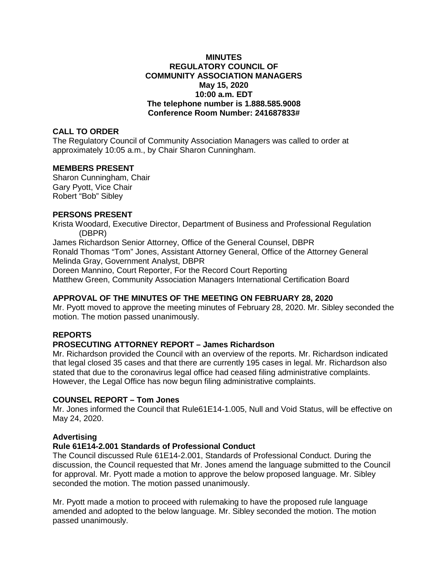### **MINUTES REGULATORY COUNCIL OF COMMUNITY ASSOCIATION MANAGERS May 15, 2020 10:00 a.m. EDT The telephone number is 1.888.585.9008 Conference Room Number: 241687833#**

## **CALL TO ORDER**

The Regulatory Council of Community Association Managers was called to order at approximately 10:05 a.m., by Chair Sharon Cunningham.

### **MEMBERS PRESENT**

Sharon Cunningham, Chair Gary Pyott, Vice Chair Robert "Bob" Sibley

### **PERSONS PRESENT**

Krista Woodard, Executive Director, Department of Business and Professional Regulation (DBPR) James Richardson Senior Attorney, Office of the General Counsel, DBPR Ronald Thomas "Tom" Jones, Assistant Attorney General, Office of the Attorney General Melinda Gray, Government Analyst, DBPR Doreen Mannino, Court Reporter, For the Record Court Reporting Matthew Green, Community Association Managers International Certification Board

# **APPROVAL OF THE MINUTES OF THE MEETING ON FEBRUARY 28, 2020**

Mr. Pyott moved to approve the meeting minutes of February 28, 2020. Mr. Sibley seconded the motion. The motion passed unanimously.

# **REPORTS**

# **PROSECUTING ATTORNEY REPORT – James Richardson**

Mr. Richardson provided the Council with an overview of the reports. Mr. Richardson indicated that legal closed 35 cases and that there are currently 195 cases in legal. Mr. Richardson also stated that due to the coronavirus legal office had ceased filing administrative complaints. However, the Legal Office has now begun filing administrative complaints.

### **COUNSEL REPORT – Tom Jones**

Mr. Jones informed the Council that Rule61E14-1.005, Null and Void Status, will be effective on May 24, 2020.

#### **Advertising**

#### **Rule 61E14-2.001 Standards of Professional Conduct**

The Council discussed Rule 61E14-2.001, Standards of Professional Conduct. During the discussion, the Council requested that Mr. Jones amend the language submitted to the Council for approval. Mr. Pyott made a motion to approve the below proposed language. Mr. Sibley seconded the motion. The motion passed unanimously.

Mr. Pyott made a motion to proceed with rulemaking to have the proposed rule language amended and adopted to the below language. Mr. Sibley seconded the motion. The motion passed unanimously.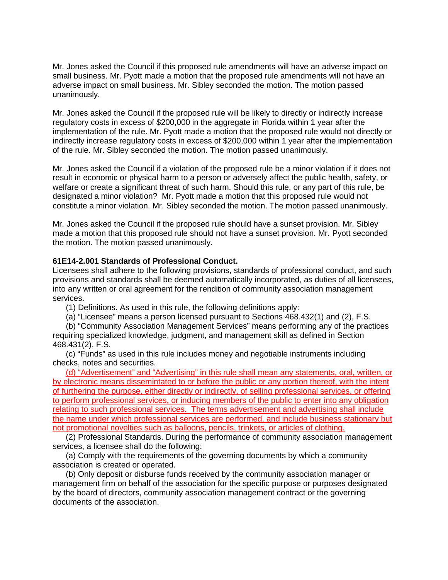Mr. Jones asked the Council if this proposed rule amendments will have an adverse impact on small business. Mr. Pyott made a motion that the proposed rule amendments will not have an adverse impact on small business. Mr. Sibley seconded the motion. The motion passed unanimously.

Mr. Jones asked the Council if the proposed rule will be likely to directly or indirectly increase regulatory costs in excess of \$200,000 in the aggregate in Florida within 1 year after the implementation of the rule. Mr. Pyott made a motion that the proposed rule would not directly or indirectly increase regulatory costs in excess of \$200,000 within 1 year after the implementation of the rule. Mr. Sibley seconded the motion. The motion passed unanimously.

Mr. Jones asked the Council if a violation of the proposed rule be a minor violation if it does not result in economic or physical harm to a person or adversely affect the public health, safety, or welfare or create a significant threat of such harm. Should this rule, or any part of this rule, be designated a minor violation? Mr. Pyott made a motion that this proposed rule would not constitute a minor violation. Mr. Sibley seconded the motion. The motion passed unanimously.

Mr. Jones asked the Council if the proposed rule should have a sunset provision. Mr. Sibley made a motion that this proposed rule should not have a sunset provision. Mr. Pyott seconded the motion. The motion passed unanimously.

#### **61E14-2.001 Standards of Professional Conduct.**

Licensees shall adhere to the following provisions, standards of professional conduct, and such provisions and standards shall be deemed automatically incorporated, as duties of all licensees, into any written or oral agreement for the rendition of community association management services.

(1) Definitions. As used in this rule, the following definitions apply:

(a) "Licensee" means a person licensed pursuant to Sections 468.432(1) and (2), F.S.

(b) "Community Association Management Services" means performing any of the practices requiring specialized knowledge, judgment, and management skill as defined in Section 468.431(2), F.S.

(c) "Funds" as used in this rule includes money and negotiable instruments including checks, notes and securities.

(d) "Advertisement" and "Advertising" in this rule shall mean any statements, oral, written, or by electronic means dissemintated to or before the public or any portion thereof, with the intent of furthering the purpose, either directly or indirectly, of selling professional services, or offering to perform professional services, or inducing members of the public to enter into any obligation relating to such professional services. The terms advertisement and advertising shall include the name under which professional services are performed, and include business stationary but not promotional novelties such as balloons, pencils, trinkets, or articles of clothing.

(2) Professional Standards. During the performance of community association management services, a licensee shall do the following:

(a) Comply with the requirements of the governing documents by which a community association is created or operated.

(b) Only deposit or disburse funds received by the community association manager or management firm on behalf of the association for the specific purpose or purposes designated by the board of directors, community association management contract or the governing documents of the association.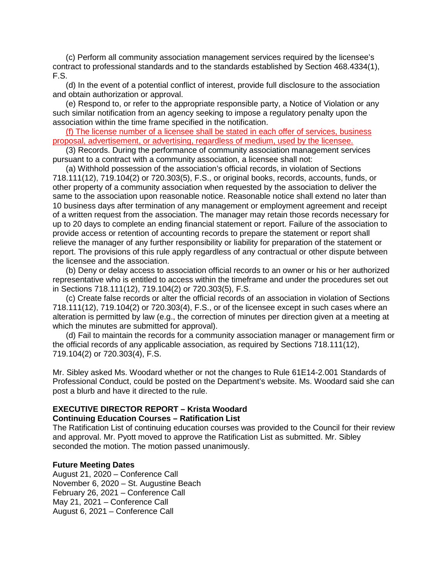(c) Perform all community association management services required by the licensee's contract to professional standards and to the standards established by Section 468.4334(1), F.S.

(d) In the event of a potential conflict of interest, provide full disclosure to the association and obtain authorization or approval.

(e) Respond to, or refer to the appropriate responsible party, a Notice of Violation or any such similar notification from an agency seeking to impose a regulatory penalty upon the association within the time frame specified in the notification.

(f) The license number of a licensee shall be stated in each offer of services, business proposal, advertisement, or advertising, regardless of medium, used by the licensee.

(3) Records. During the performance of community association management services pursuant to a contract with a community association, a licensee shall not:

(a) Withhold possession of the association's official records, in violation of Sections 718.111(12), 719.104(2) or 720.303(5), F.S., or original books, records, accounts, funds, or other property of a community association when requested by the association to deliver the same to the association upon reasonable notice. Reasonable notice shall extend no later than 10 business days after termination of any management or employment agreement and receipt of a written request from the association. The manager may retain those records necessary for up to 20 days to complete an ending financial statement or report. Failure of the association to provide access or retention of accounting records to prepare the statement or report shall relieve the manager of any further responsibility or liability for preparation of the statement or report. The provisions of this rule apply regardless of any contractual or other dispute between the licensee and the association.

(b) Deny or delay access to association official records to an owner or his or her authorized representative who is entitled to access within the timeframe and under the procedures set out in Sections 718.111(12), 719.104(2) or 720.303(5), F.S.

(c) Create false records or alter the official records of an association in violation of Sections 718.111(12), 719.104(2) or 720.303(4), F.S., or of the licensee except in such cases where an alteration is permitted by law (e.g., the correction of minutes per direction given at a meeting at which the minutes are submitted for approval).

(d) Fail to maintain the records for a community association manager or management firm or the official records of any applicable association, as required by Sections 718.111(12), 719.104(2) or 720.303(4), F.S.

Mr. Sibley asked Ms. Woodard whether or not the changes to Rule 61E14-2.001 Standards of Professional Conduct, could be posted on the Department's website. Ms. Woodard said she can post a blurb and have it directed to the rule.

# **EXECUTIVE DIRECTOR REPORT – Krista Woodard Continuing Education Courses – Ratification List**

The Ratification List of continuing education courses was provided to the Council for their review and approval. Mr. Pyott moved to approve the Ratification List as submitted. Mr. Sibley seconded the motion. The motion passed unanimously.

#### **Future Meeting Dates**

August 21, 2020 – Conference Call November 6, 2020 – St. Augustine Beach February 26, 2021 – Conference Call May 21, 2021 – Conference Call August 6, 2021 – Conference Call